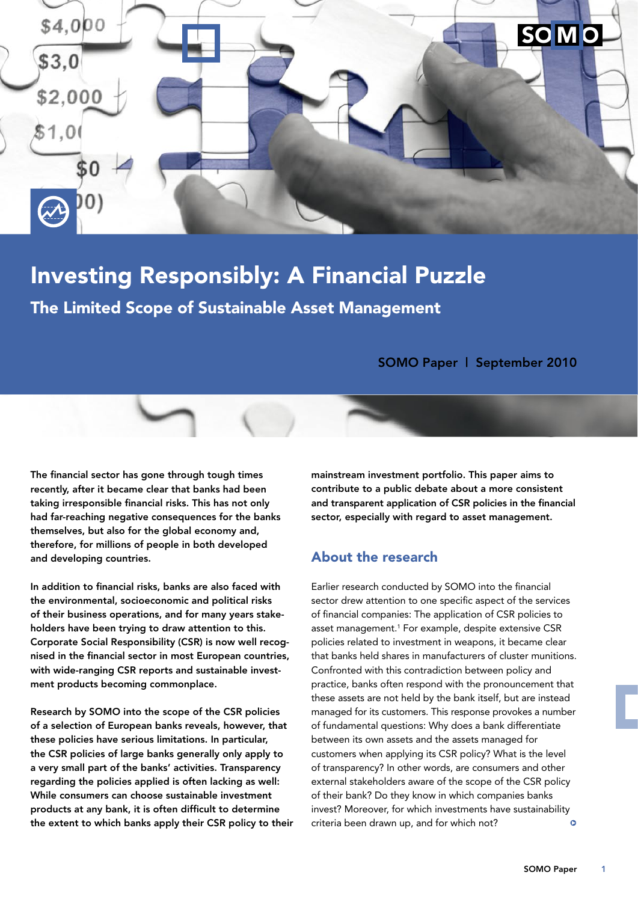

# Investing Responsibly: A Financial Puzzle

The Limited Scope of Sustainable Asset Management

SOMO Paper | September 2010

The financial sector has gone through tough times recently, after it became clear that banks had been taking irresponsible financial risks. This has not only had far-reaching negative consequences for the banks themselves, but also for the global economy and, therefore, for millions of people in both developed and developing countries.

In addition to financial risks, banks are also faced with the environmental, socioeconomic and political risks of their business operations, and for many years stakeholders have been trying to draw attention to this. Corporate Social Responsibility (CSR) is now well recognised in the financial sector in most European countries, with wide-ranging CSR reports and sustainable investment products becoming commonplace.

Research by SOMO into the scope of the CSR policies of a selection of European banks reveals, however, that these policies have serious limitations. In particular, the CSR policies of large banks generally only apply to a very small part of the banks' activities. Transparency regarding the policies applied is often lacking as well: While consumers can choose sustainable investment products at any bank, it is often difficult to determine the extent to which banks apply their CSR policy to their mainstream investment portfolio. This paper aims to contribute to a public debate about a more consistent and transparent application of CSR policies in the financial sector, especially with regard to asset management.

## About the research

Earlier research conducted by SOMO into the financial sector drew attention to one specific aspect of the services of financial companies: The application of CSR policies to asset management.<sup>1</sup> For example, despite extensive CSR policies related to investment in weapons, it became clear that banks held shares in manufacturers of cluster munitions. Confronted with this contradiction between policy and practice, banks often respond with the pronouncement that these assets are not held by the bank itself, but are instead managed for its customers. This response provokes a number of fundamental questions: Why does a bank differentiate between its own assets and the assets managed for customers when applying its CSR policy? What is the level of transparency? In other words, are consumers and other external stakeholders aware of the scope of the CSR policy of their bank? Do they know in which companies banks invest? Moreover, for which investments have sustainability criteria been drawn up, and for which not?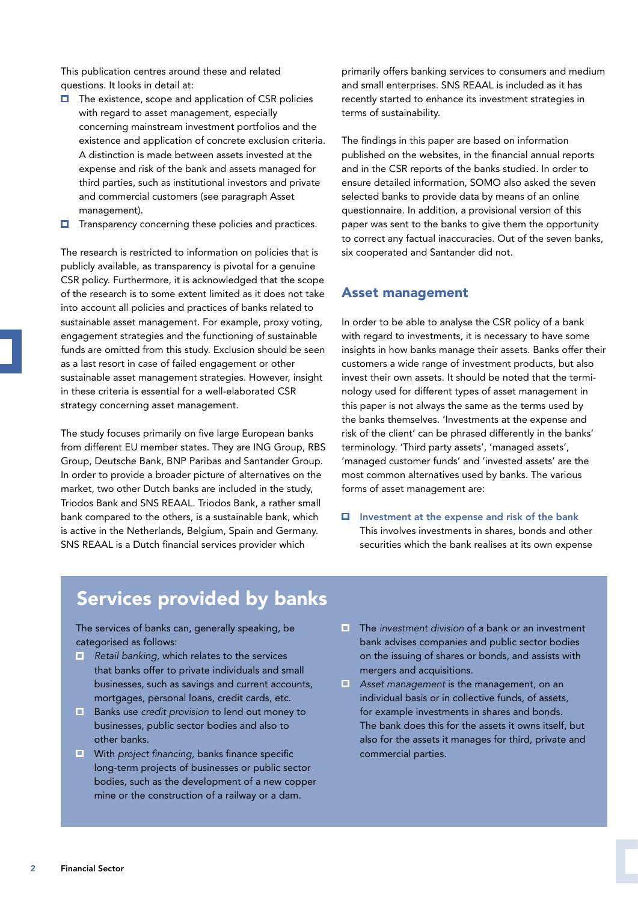This publication centres around these and related questions. It looks in detail at:

- $\Box$  The existence, scope and application of CSR policies with regard to asset management, especially concerning mainstream investment portfolios and the existence and application of concrete exclusion criteria. A distinction is made between assets invested at the expense and risk of the bank and assets managed for third parties, such as institutional investors and private and commercial customers (see paragraph Asset management).
- $\Box$  Transparency concerning these policies and practices.

The research is restricted to information on policies that is publicly available, as transparency is pivotal for a genuine CSR policy. Furthermore, it is acknowledged that the scope of the research is to some extent limited as it does not take into account all policies and practices of banks related to sustainable asset management. For example, proxy voting, engagement strategies and the functioning of sustainable funds are omitted from this study. Exclusion should be seen as a last resort in case of failed engagement or other sustainable asset management strategies. However, insight in these criteria is essential for a well-elaborated CSR strategy concerning asset management.

The study focuses primarily on five large European banks from different EU member states. They are ING Group, RBS Group, Deutsche Bank, BNP Paribas and Santander Group. In order to provide a broader picture of alternatives on the market, two other Dutch banks are included in the study, Triodos Bank and SNS REAAL. Triodos Bank, a rather small bank compared to the others, is a sustainable bank, which is active in the Netherlands, Belgium, Spain and Germany. SNS REAAL is a Dutch financial services provider which

primarily offers banking services to consumers and medium and small enterprises. SNS REAAL is included as it has recently started to enhance its investment strategies in terms of sustainability.

The findings in this paper are based on information published on the websites, in the financial annual reports and in the CSR reports of the banks studied. In order to ensure detailed information, SOMO also asked the seven selected banks to provide data by means of an online questionnaire. In addition, a provisional version of this paper was sent to the banks to give them the opportunity to correct any factual inaccuracies. Out of the seven banks, six cooperated and Santander did not.

### Asset management

In order to be able to analyse the CSR policy of a bank with regard to investments, it is necessary to have some insights in how banks manage their assets. Banks offer their customers a wide range of investment products, but also invest their own assets. It should be noted that the terminology used for different types of asset management in this paper is not always the same as the terms used by the banks themselves. 'Investments at the expense and risk of the client' can be phrased differently in the banks' terminology. 'Third party assets', 'managed assets', 'managed customer funds' and 'invested assets' are the most common alternatives used by banks. The various forms of asset management are:

 $\Box$  Investment at the expense and risk of the bank This involves investments in shares, bonds and other securities which the bank realises at its own expense

## Services provided by banks

The services of banks can, generally speaking, be categorised as follows:

- **Retail banking, which relates to the services** that banks offer to private individuals and small businesses, such as savings and current accounts, mortgages, personal loans, credit cards, etc.
- **Banks use** *credit provision* to lend out money to businesses, public sector bodies and also to other banks.
- **E** With *project financing*, banks finance specific long-term projects of businesses or public sector bodies, such as the development of a new copper mine or the construction of a railway or a dam.
- **The** *investment division* of a bank or an investment bank advises companies and public sector bodies on the issuing of shares or bonds, and assists with mergers and acquisitions.
- *Asset management* is the management, on an individual basis or in collective funds, of assets, for example investments in shares and bonds. The bank does this for the assets it owns itself, but also for the assets it manages for third, private and commercial parties.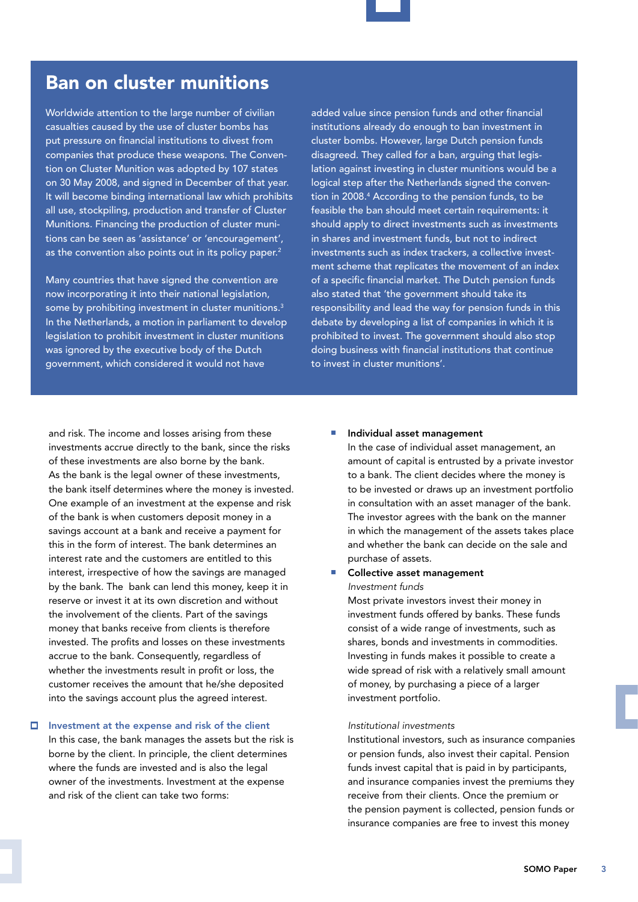

## Ban on cluster munitions

Worldwide attention to the large number of civilian casualties caused by the use of cluster bombs has put pressure on financial institutions to divest from companies that produce these weapons. The Convention on Cluster Munition was adopted by 107 states on 30 May 2008, and signed in December of that year. It will become binding international law which prohibits all use, stockpiling, production and transfer of Cluster Munitions. Financing the production of cluster munitions can be seen as 'assistance' or 'encouragement', as the convention also points out in its policy paper.<sup>2</sup>

Many countries that have signed the convention are now incorporating it into their national legislation, some by prohibiting investment in cluster munitions.<sup>3</sup> In the Netherlands, a motion in parliament to develop legislation to prohibit investment in cluster munitions was ignored by the executive body of the Dutch government, which considered it would not have

added value since pension funds and other financial institutions already do enough to ban investment in cluster bombs. However, large Dutch pension funds disagreed. They called for a ban, arguing that legislation against investing in cluster munitions would be a logical step after the Netherlands signed the convention in 2008.4 According to the pension funds, to be feasible the ban should meet certain requirements: it should apply to direct investments such as investments in shares and investment funds, but not to indirect investments such as index trackers, a collective investment scheme that replicates the movement of an index of a specific financial market. The Dutch pension funds also stated that 'the government should take its responsibility and lead the way for pension funds in this debate by developing a list of companies in which it is prohibited to invest. The government should also stop doing business with financial institutions that continue to invest in cluster munitions'.

and risk. The income and losses arising from these investments accrue directly to the bank, since the risks of these investments are also borne by the bank. As the bank is the legal owner of these investments, the bank itself determines where the money is invested. One example of an investment at the expense and risk of the bank is when customers deposit money in a savings account at a bank and receive a payment for this in the form of interest. The bank determines an interest rate and the customers are entitled to this interest, irrespective of how the savings are managed by the bank. The bank can lend this money, keep it in reserve or invest it at its own discretion and without the involvement of the clients. Part of the savings money that banks receive from clients is therefore invested. The profits and losses on these investments accrue to the bank. Consequently, regardless of whether the investments result in profit or loss, the customer receives the amount that he/she deposited into the savings account plus the agreed interest.

 $\Box$  Investment at the expense and risk of the client In this case, the bank manages the assets but the risk is borne by the client. In principle, the client determines where the funds are invested and is also the legal owner of the investments. Investment at the expense and risk of the client can take two forms:

Individual asset management

In the case of individual asset management, an amount of capital is entrusted by a private investor to a bank. The client decides where the money is to be invested or draws up an investment portfolio in consultation with an asset manager of the bank. The investor agrees with the bank on the manner in which the management of the assets takes place and whether the bank can decide on the sale and purchase of assets.

## Collective asset management

*Investment funds*

Most private investors invest their money in investment funds offered by banks. These funds consist of a wide range of investments, such as shares, bonds and investments in commodities. Investing in funds makes it possible to create a wide spread of risk with a relatively small amount of money, by purchasing a piece of a larger investment portfolio.

#### *Institutional investments*

Institutional investors, such as insurance companies or pension funds, also invest their capital. Pension funds invest capital that is paid in by participants, and insurance companies invest the premiums they receive from their clients. Once the premium or the pension payment is collected, pension funds or insurance companies are free to invest this money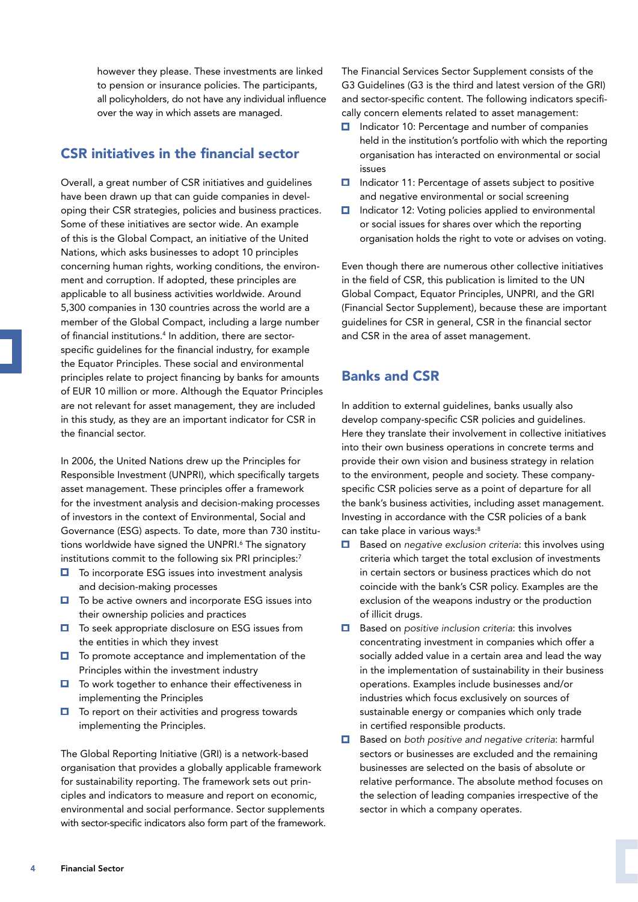however they please. These investments are linked to pension or insurance policies. The participants, all policyholders, do not have any individual influence over the way in which assets are managed.

## CSR initiatives in the financial sector

Overall, a great number of CSR initiatives and guidelines have been drawn up that can guide companies in developing their CSR strategies, policies and business practices. Some of these initiatives are sector wide. An example of this is the Global Compact, an initiative of the United Nations, which asks businesses to adopt 10 principles concerning human rights, working conditions, the environment and corruption. If adopted, these principles are applicable to all business activities worldwide. Around 5,300 companies in 130 countries across the world are a member of the Global Compact, including a large number of financial institutions.4 In addition, there are sectorspecific guidelines for the financial industry, for example the Equator Principles. These social and environmental principles relate to project financing by banks for amounts of EUR 10 million or more. Although the Equator Principles are not relevant for asset management, they are included in this study, as they are an important indicator for CSR in the financial sector.

In 2006, the United Nations drew up the Principles for Responsible Investment (UNPRI), which specifically targets asset management. These principles offer a framework for the investment analysis and decision-making processes of investors in the context of Environmental, Social and Governance (ESG) aspects. To date, more than 730 institutions worldwide have signed the UNPRI.<sup>6</sup> The signatory institutions commit to the following six PRI principles:<sup>7</sup>

- $\Box$  To incorporate ESG issues into investment analysis and decision-making processes
- $\Box$  To be active owners and incorporate ESG issues into their ownership policies and practices
- $\Box$  To seek appropriate disclosure on ESG issues from the entities in which they invest
- $\Box$  To promote acceptance and implementation of the Principles within the investment industry
- $\Box$  To work together to enhance their effectiveness in implementing the Principles
- $\Box$  To report on their activities and progress towards implementing the Principles.

The Global Reporting Initiative (GRI) is a network-based organisation that provides a globally applicable framework for sustainability reporting. The framework sets out principles and indicators to measure and report on economic, environmental and social performance. Sector supplements with sector-specific indicators also form part of the framework. The Financial Services Sector Supplement consists of the G3 Guidelines (G3 is the third and latest version of the GRI) and sector-specific content. The following indicators specifically concern elements related to asset management:

- $\Box$  Indicator 10: Percentage and number of companies held in the institution's portfolio with which the reporting organisation has interacted on environmental or social issues
- $\Box$  Indicator 11: Percentage of assets subject to positive and negative environmental or social screening
- Indicator 12: Voting policies applied to environmental  $\Box$ or social issues for shares over which the reporting organisation holds the right to vote or advises on voting.

Even though there are numerous other collective initiatives in the field of CSR, this publication is limited to the UN Global Compact, Equator Principles, UNPRI, and the GRI (Financial Sector Supplement), because these are important guidelines for CSR in general, CSR in the financial sector and CSR in the area of asset management.

## Banks and CSR

In addition to external guidelines, banks usually also develop company-specific CSR policies and guidelines. Here they translate their involvement in collective initiatives into their own business operations in concrete terms and provide their own vision and business strategy in relation to the environment, people and society. These companyspecific CSR policies serve as a point of departure for all the bank's business activities, including asset management. Investing in accordance with the CSR policies of a bank can take place in various ways:<sup>8</sup>

- Based on *negative exclusion criteria*: this involves using  $\Box$ criteria which target the total exclusion of investments in certain sectors or business practices which do not coincide with the bank's CSR policy. Examples are the exclusion of the weapons industry or the production of illicit drugs.
- Based on *positive inclusion criteria*: this involves concentrating investment in companies which offer a socially added value in a certain area and lead the way in the implementation of sustainability in their business operations. Examples include businesses and/or industries which focus exclusively on sources of sustainable energy or companies which only trade in certified responsible products.
- $\Box$ Based on *both positive and negative criteria*: harmful sectors or businesses are excluded and the remaining businesses are selected on the basis of absolute or relative performance. The absolute method focuses on the selection of leading companies irrespective of the sector in which a company operates.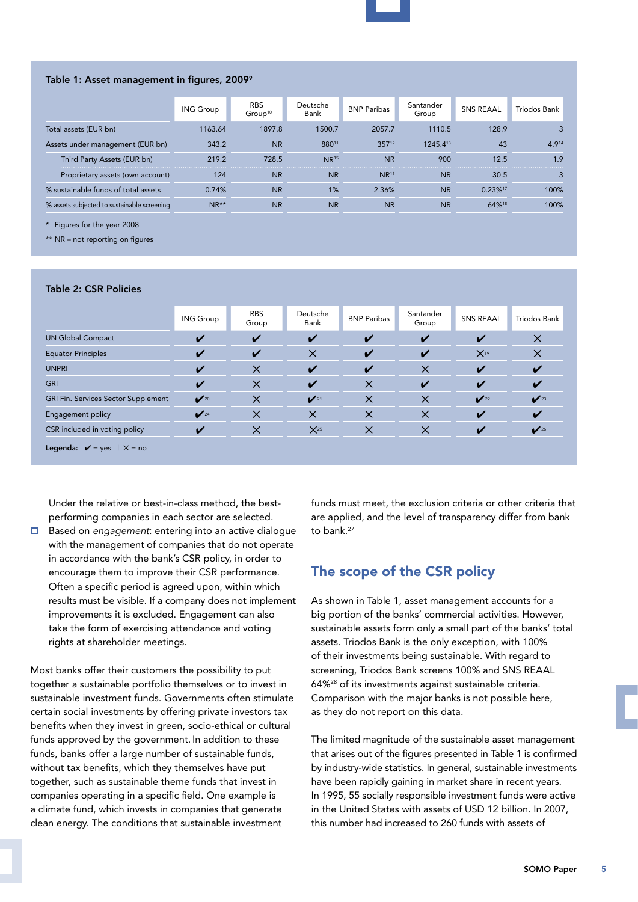

#### Table 1: Asset management in figures, 20099

|                                             |                                  | <b>ING Group</b> | <b>RBS</b><br>Group <sup>10</sup> | Deutsche<br>Bank | <b>BNP Paribas</b> | Santander<br>Group | <b>SNS REAAL</b> | <b>Triodos Bank</b> |
|---------------------------------------------|----------------------------------|------------------|-----------------------------------|------------------|--------------------|--------------------|------------------|---------------------|
| Total assets (EUR bn)                       |                                  | 1163.64          | 1897.8                            | 1500.7           | 2057.7             | 1110.5             | 128.9            |                     |
| Assets under management (EUR bn)            |                                  | 343.2            | <b>NR</b>                         | 88011            | 35712              | 1245.413           | 43               | 4.914               |
|                                             | Third Party Assets (EUR bn)      | 219.2            | 728.5                             | NR <sup>15</sup> | <b>NR</b>          | 900                | 12.5             | 1.9                 |
|                                             | Proprietary assets (own account) | 124              | <b>NR</b>                         | <b>NR</b>        | NR <sup>16</sup>   | <b>NR</b>          | 30.5             |                     |
| % sustainable funds of total assets         |                                  | 0.74%            | <b>NR</b>                         | 1%               | 2.36%              | <b>NR</b>          | 0.23%17          | 100%                |
| % assets subjected to sustainable screening |                                  | $NR**$           | <b>NR</b>                         | <b>NR</b>        | <b>NR</b>          | <b>NR</b>          | 64%18            | 100%                |

\* Figures for the year 2008

\*\* NR – not reporting on figures

#### Table 2: CSR Policies

|                                                       | <b>ING Group</b>           | <b>RBS</b><br>Group | Deutsche<br>Bank           | <b>BNP Paribas</b> | Santander<br>Group | <b>SNS REAAL</b>  | Triodos Bank                |
|-------------------------------------------------------|----------------------------|---------------------|----------------------------|--------------------|--------------------|-------------------|-----------------------------|
| <b>UN Global Compact</b>                              |                            |                     | ✔                          | v                  | V                  |                   | X                           |
| <b>Equator Principles</b>                             |                            | ✔                   | $\times$                   | $\boldsymbol{\nu}$ | ✔                  | $X$ <sup>19</sup> | $\times$                    |
| <b>UNPRI</b>                                          |                            | $\times$            | V                          | $\boldsymbol{\nu}$ | $\times$           | V                 |                             |
| <b>GRI</b>                                            |                            | $\times$            | V                          | $\times$           | ✔                  | V                 |                             |
| GRI Fin. Services Sector Supplement                   | $\mathbf{V}^{20}$          | $\times$            | $\mathbf{V}$ <sup>21</sup> | $\times$           | $\times$           | $\mathbf{V}^{22}$ | $\mathbf{V}^{23}$           |
| Engagement policy                                     | $\mathbf{V}$ <sup>24</sup> | $\times$            | $\times$                   | $\times$           | $\times$           |                   |                             |
| CSR included in voting policy<br>✔                    |                            | $\times$            | X <sup>25</sup>            | $\times$           | $\times$           |                   | $\mathcal{V}$ <sup>26</sup> |
| <b>Legenda:</b> $\mathbf{v}$ = yes $ \mathbf{x}$ = no |                            |                     |                            |                    |                    |                   |                             |

Under the relative or best-in-class method, the bestperforming companies in each sector are selected.

Based on *engagement*: entering into an active dialogue with the management of companies that do not operate in accordance with the bank's CSR policy, in order to encourage them to improve their CSR performance. Often a specific period is agreed upon, within which results must be visible. If a company does not implement improvements it is excluded. Engagement can also take the form of exercising attendance and voting rights at shareholder meetings.

Most banks offer their customers the possibility to put together a sustainable portfolio themselves or to invest in sustainable investment funds. Governments often stimulate certain social investments by offering private investors tax benefits when they invest in green, socio-ethical or cultural funds approved by the government. In addition to these funds, banks offer a large number of sustainable funds, without tax benefits, which they themselves have put together, such as sustainable theme funds that invest in companies operating in a specific field. One example is a climate fund, which invests in companies that generate clean energy. The conditions that sustainable investment

funds must meet, the exclusion criteria or other criteria that are applied, and the level of transparency differ from bank to bank.<sup>27</sup>

### The scope of the CSR policy

As shown in Table 1, asset management accounts for a big portion of the banks' commercial activities. However, sustainable assets form only a small part of the banks' total assets. Triodos Bank is the only exception, with 100% of their investments being sustainable. With regard to screening, Triodos Bank screens 100% and SNS REAAL 64%28 of its investments against sustainable criteria. Comparison with the major banks is not possible here, as they do not report on this data.

The limited magnitude of the sustainable asset management that arises out of the figures presented in Table 1 is confirmed by industry-wide statistics. In general, sustainable investments have been rapidly gaining in market share in recent years. In 1995, 55 socially responsible investment funds were active in the United States with assets of USD 12 billion. In 2007, this number had increased to 260 funds with assets of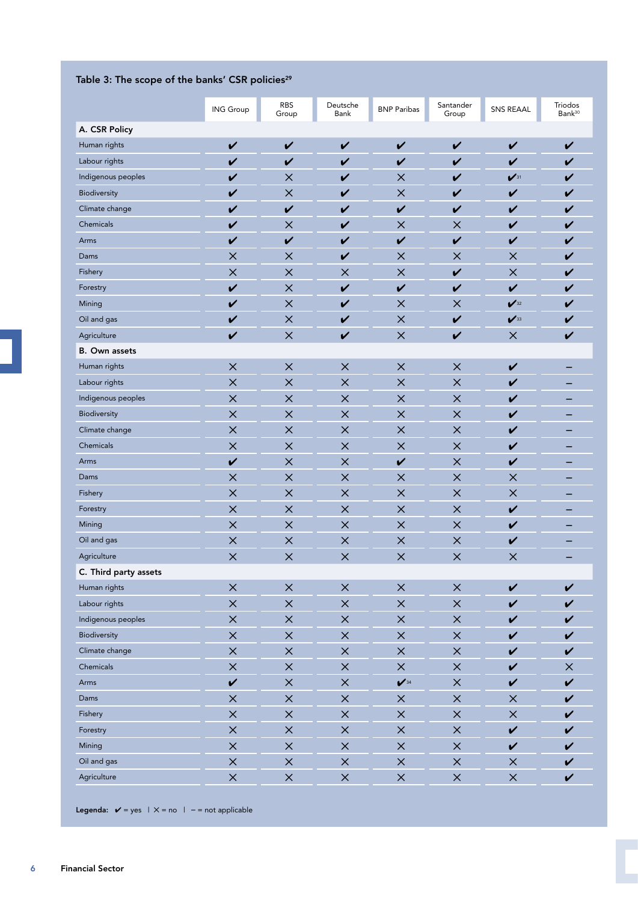### Table 3: The scope of the banks' CSR policies<sup>29</sup>

|                       | <b>ING Group</b>   | <b>RBS</b><br>Group | Deutsche<br>Bank   | <b>BNP Paribas</b>         | Santander<br>Group | <b>SNS REAAL</b>            | Triodos<br>Bank <sup>30</sup> |
|-----------------------|--------------------|---------------------|--------------------|----------------------------|--------------------|-----------------------------|-------------------------------|
| A. CSR Policy         |                    |                     |                    |                            |                    |                             |                               |
| Human rights          | $\checkmark$       | $\checkmark$        | $\boldsymbol{v}$   | $\checkmark$               | $\checkmark$       | $\checkmark$                | V                             |
| Labour rights         | $\boldsymbol{\nu}$ | $\boldsymbol{\nu}$  | $\boldsymbol{\nu}$ | $\mathbf v$                | $\boldsymbol{\nu}$ | $\mathbf v$                 | V                             |
| Indigenous peoples    | V                  | $\times$            | V                  | $\times$                   | V                  | $\mathbf{V}^{31}$           | V                             |
| Biodiversity          | V                  | $\times$            | V                  | $\times$                   | V                  | V                           | V                             |
| Climate change        | V                  | $\checkmark$        | V                  | $\checkmark$               | V                  | V                           | $\checkmark$                  |
| Chemicals             | $\checkmark$       | $\times$            | V                  | $\times$                   | $\times$           | $\checkmark$                | $\checkmark$                  |
| Arms                  | $\checkmark$       | $\checkmark$        | V                  | $\checkmark$               | $\checkmark$       | V                           | V                             |
| Dams                  | $\times$           | $\times$            | V                  | $\times$                   | $\times$           | ×                           | V                             |
| Fishery               | $\times$           | $\times$            | $\times$           | $\times$                   | $\checkmark$       | $\times$                    | $\checkmark$                  |
| Forestry              | $\checkmark$       | $\times$            | $\checkmark$       | $\checkmark$               | $\checkmark$       | $\checkmark$                | $\checkmark$                  |
| Mining                | $\checkmark$       | $\times$            | $\checkmark$       | $\times$                   | $\times$           | $\mathbf{V}^{32}$           | $\checkmark$                  |
| Oil and gas           | $\checkmark$       | $\times$            | V                  | $\times$                   | V                  | $\mathcal{V}$ <sup>33</sup> | V                             |
| Agriculture           | $\checkmark$       | $\times$            | $\checkmark$       | $\times$                   | $\checkmark$       | $\times$                    | V                             |
| <b>B.</b> Own assets  |                    |                     |                    |                            |                    |                             |                               |
| Human rights          | $\times$           | $\times$            | $\times$           | $\times$                   | $\times$           | V                           |                               |
| Labour rights         | $\times$           | $\times$            | $\times$           | $\times$                   | $\times$           | V                           |                               |
| Indigenous peoples    | $\times$           | $\times$            | $\times$           | $\times$                   | $\times$           | V                           |                               |
| Biodiversity          | $\times$           | $\times$            | $\times$           | $\times$                   | $\times$           | V                           |                               |
| Climate change        | $\times$           | $\times$            | $\times$           | $\times$                   | $\times$           | V                           |                               |
| Chemicals             | $\times$           | $\times$            | $\times$           | $\times$                   | $\times$           | V                           |                               |
| Arms                  | $\checkmark$       | $\times$            | $\times$           | $\checkmark$               | $\times$           | V                           |                               |
| Dams                  | $\times$           | $\times$            | $\times$           | $\times$                   | $\times$           | $\times$                    |                               |
| Fishery               | $\times$           | $\times$            | $\times$           | $\times$                   | $\times$           | $\times$                    |                               |
| Forestry              | $\times$           | $\times$            | $\times$           | $\times$                   | $\times$           | V                           |                               |
| Mining                | $\times$           | $\times$            | $\times$           | $\times$                   | $\times$           | V                           |                               |
| Oil and gas           | $\times$           | $\times$            | $\times$           | $\times$                   | $\times$           | V                           |                               |
| Agriculture           | $\times$           | $\times$            | $\times$           | $\times$                   | $\times$           | $\times$                    |                               |
| C. Third party assets |                    |                     |                    |                            |                    |                             |                               |
| Human rights          | $\times$           | $\times$            | $\times$           | $\times$                   | $\times$           | $\checkmark$                | $\checkmark$                  |
| Labour rights         | $\times$           | $\times$            | $\times$           | $\times$                   | $\times$           | $\checkmark$                | $\checkmark$                  |
| Indigenous peoples    | $\times$           | $\times$            | $\times$           | $\times$                   | $\times$           | $\checkmark$                | $\checkmark$                  |
| Biodiversity          | $\times$           | $\times$            | $\times$           | $\times$                   | $\times$           | V                           | $\checkmark$                  |
| Climate change        | $\times$           | $\times$            | $\times$           | $\times$                   | $\times$           | $\checkmark$                | $\checkmark$                  |
| Chemicals             | $\times$           | $\times$            | $\times$           | $\times$                   | $\times$           | $\checkmark$                | $\times$                      |
| Arms                  | $\mathbf v$        | $\times$            | $\times$           | $\mathbf{V}$ <sup>34</sup> | $\times$           | $\checkmark$                | $\mathbf v$                   |
| Dams                  | $\times$           | $\times$            | $\times$           | $\times$                   | $\times$           | $\times$                    | $\checkmark$                  |
| Fishery               | $\times$           | $\times$            | $\times$           | $\times$                   | $\times$           | $\times$                    | $\checkmark$                  |
| Forestry              | $\times$           | $\times$            | $\times$           | $\times$                   | $\times$           | $\checkmark$                | $\checkmark$                  |
| Mining                | $\times$           | $\times$            | $\times$           | $\times$                   | $\times$           | $\checkmark$                | $\mathbf v$                   |
| Oil and gas           | $\times$           | $\times$            | $\times$           | $\times$                   | $\times$           | $\times$                    | V                             |
| Agriculture           | $\times$           | $\times$            | $\times$           | $\times$                   | $\times$           | $\times$                    | $\checkmark$                  |

Legenda: ✔ = yes | ✕ = no | **–** = not applicable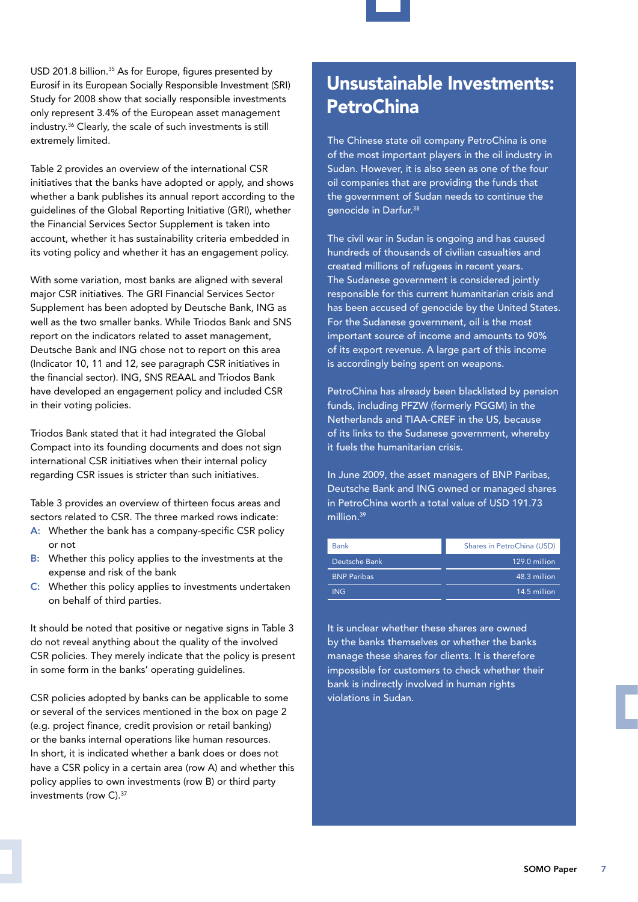

USD 201.8 billion.<sup>35</sup> As for Europe, figures presented by Eurosif in its European Socially Responsible Investment (SRI) Study for 2008 show that socially responsible investments only represent 3.4% of the European asset management industry.36 Clearly, the scale of such investments is still extremely limited.

Table 2 provides an overview of the international CSR initiatives that the banks have adopted or apply, and shows whether a bank publishes its annual report according to the guidelines of the Global Reporting Initiative (GRI), whether the Financial Services Sector Supplement is taken into account, whether it has sustainability criteria embedded in its voting policy and whether it has an engagement policy.

With some variation, most banks are aligned with several major CSR initiatives. The GRI Financial Services Sector Supplement has been adopted by Deutsche Bank, ING as well as the two smaller banks. While Triodos Bank and SNS report on the indicators related to asset management, Deutsche Bank and ING chose not to report on this area (Indicator 10, 11 and 12, see paragraph CSR initiatives in the financial sector). ING, SNS REAAL and Triodos Bank have developed an engagement policy and included CSR in their voting policies.

Triodos Bank stated that it had integrated the Global Compact into its founding documents and does not sign international CSR initiatives when their internal policy regarding CSR issues is stricter than such initiatives.

Table 3 provides an overview of thirteen focus areas and sectors related to CSR. The three marked rows indicate:

- A: Whether the bank has a company-specific CSR policy or not
- B: Whether this policy applies to the investments at the expense and risk of the bank
- C: Whether this policy applies to investments undertaken on behalf of third parties.

It should be noted that positive or negative signs in Table 3 do not reveal anything about the quality of the involved CSR policies. They merely indicate that the policy is present in some form in the banks' operating guidelines.

CSR policies adopted by banks can be applicable to some or several of the services mentioned in the box on page 2 (e.g. project finance, credit provision or retail banking) or the banks internal operations like human resources. In short, it is indicated whether a bank does or does not have a CSR policy in a certain area (row A) and whether this policy applies to own investments (row B) or third party investments (row C).37

## Unsustainable Investments: **PetroChina**

The Chinese state oil company PetroChina is one of the most important players in the oil industry in Sudan. However, it is also seen as one of the four oil companies that are providing the funds that the government of Sudan needs to continue the genocide in Darfur.38

The civil war in Sudan is ongoing and has caused hundreds of thousands of civilian casualties and created millions of refugees in recent years. The Sudanese government is considered jointly responsible for this current humanitarian crisis and has been accused of genocide by the United States. For the Sudanese government, oil is the most important source of income and amounts to 90% of its export revenue. A large part of this income is accordingly being spent on weapons.

PetroChina has already been blacklisted by pension funds, including PFZW (formerly PGGM) in the Netherlands and TIAA-CREF in the US, because of its links to the Sudanese government, whereby it fuels the humanitarian crisis.

In June 2009, the asset managers of BNP Paribas, Deutsche Bank and ING owned or managed shares in PetroChina worth a total value of USD 191.73 million.39

| <b>Bank</b>        | Shares in PetroChina (USD) |
|--------------------|----------------------------|
| Deutsche Bank      | 129.0 million              |
| <b>BNP Paribas</b> | 48.3 million               |
| <b>ING</b>         | 14.5 million               |

It is unclear whether these shares are owned by the banks themselves or whether the banks manage these shares for clients. It is therefore impossible for customers to check whether their bank is indirectly involved in human rights violations in Sudan.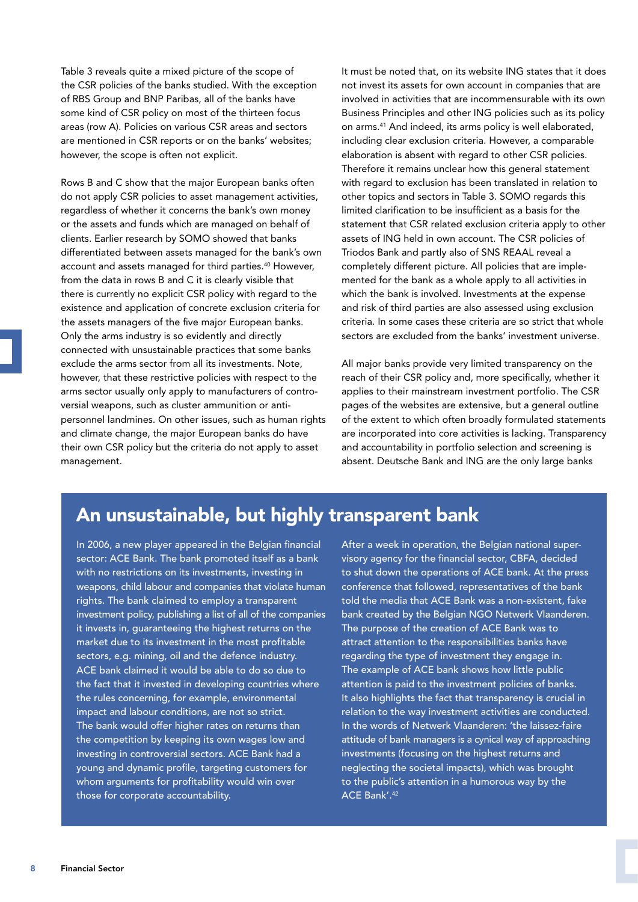Table 3 reveals quite a mixed picture of the scope of the CSR policies of the banks studied. With the exception of RBS Group and BNP Paribas, all of the banks have some kind of CSR policy on most of the thirteen focus areas (row A). Policies on various CSR areas and sectors are mentioned in CSR reports or on the banks' websites; however, the scope is often not explicit.

Rows B and C show that the major European banks often do not apply CSR policies to asset management activities, regardless of whether it concerns the bank's own money or the assets and funds which are managed on behalf of clients. Earlier research by SOMO showed that banks differentiated between assets managed for the bank's own account and assets managed for third parties.40 However, from the data in rows B and C it is clearly visible that there is currently no explicit CSR policy with regard to the existence and application of concrete exclusion criteria for the assets managers of the five major European banks. Only the arms industry is so evidently and directly connected with unsustainable practices that some banks exclude the arms sector from all its investments. Note, however, that these restrictive policies with respect to the arms sector usually only apply to manufacturers of controversial weapons, such as cluster ammunition or antipersonnel landmines. On other issues, such as human rights and climate change, the major European banks do have their own CSR policy but the criteria do not apply to asset management.

It must be noted that, on its website ING states that it does not invest its assets for own account in companies that are involved in activities that are incommensurable with its own Business Principles and other ING policies such as its policy on arms.41 And indeed, its arms policy is well elaborated, including clear exclusion criteria. However, a comparable elaboration is absent with regard to other CSR policies. Therefore it remains unclear how this general statement with regard to exclusion has been translated in relation to other topics and sectors in Table 3. SOMO regards this limited clarification to be insufficient as a basis for the statement that CSR related exclusion criteria apply to other assets of ING held in own account. The CSR policies of Triodos Bank and partly also of SNS REAAL reveal a completely different picture. All policies that are implemented for the bank as a whole apply to all activities in which the bank is involved. Investments at the expense and risk of third parties are also assessed using exclusion criteria. In some cases these criteria are so strict that whole sectors are excluded from the banks' investment universe.

All major banks provide very limited transparency on the reach of their CSR policy and, more specifically, whether it applies to their mainstream investment portfolio. The CSR pages of the websites are extensive, but a general outline of the extent to which often broadly formulated statements are incorporated into core activities is lacking. Transparency and accountability in portfolio selection and screening is absent. Deutsche Bank and ING are the only large banks

## An unsustainable, but highly transparent bank

In 2006, a new player appeared in the Belgian financial sector: ACE Bank. The bank promoted itself as a bank with no restrictions on its investments, investing in weapons, child labour and companies that violate human rights. The bank claimed to employ a transparent investment policy, publishing a list of all of the companies it invests in, guaranteeing the highest returns on the market due to its investment in the most profitable sectors, e.g. mining, oil and the defence industry. ACE bank claimed it would be able to do so due to the fact that it invested in developing countries where the rules concerning, for example, environmental impact and labour conditions, are not so strict. The bank would offer higher rates on returns than the competition by keeping its own wages low and investing in controversial sectors. ACE Bank had a young and dynamic profile, targeting customers for whom arguments for profitability would win over those for corporate accountability.

After a week in operation, the Belgian national supervisory agency for the financial sector, CBFA, decided to shut down the operations of ACE bank. At the press conference that followed, representatives of the bank told the media that ACE Bank was a non-existent, fake bank created by the Belgian NGO Netwerk Vlaanderen. The purpose of the creation of ACE Bank was to attract attention to the responsibilities banks have regarding the type of investment they engage in. The example of ACE bank shows how little public attention is paid to the investment policies of banks. It also highlights the fact that transparency is crucial in relation to the way investment activities are conducted. In the words of Netwerk Vlaanderen: 'the laissez-faire attitude of bank managers is a cynical way of approaching investments (focusing on the highest returns and neglecting the societal impacts), which was brought to the public's attention in a humorous way by the ACE Bank'.42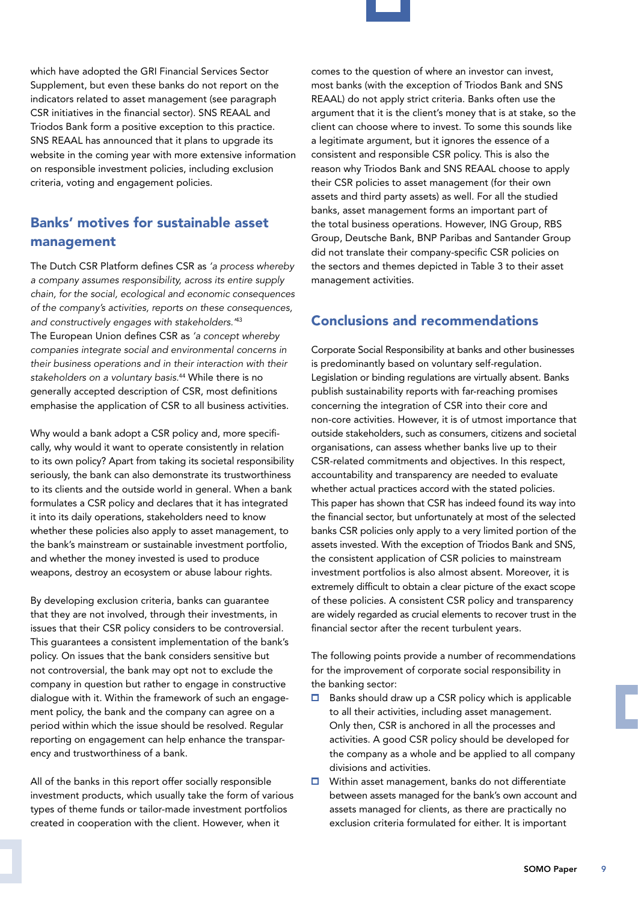

which have adopted the GRI Financial Services Sector Supplement, but even these banks do not report on the indicators related to asset management (see paragraph CSR initiatives in the financial sector). SNS REAAL and Triodos Bank form a positive exception to this practice. SNS REAAL has announced that it plans to upgrade its website in the coming year with more extensive information on responsible investment policies, including exclusion criteria, voting and engagement policies.

## Banks' motives for sustainable asset management

The Dutch CSR Platform defines CSR as *'a process whereby a company assumes responsibility, across its entire supply chain, for the social, ecological and economic consequences of the company's activities, reports on these consequences, and constructively engages with stakeholders.'*<sup>43</sup> The European Union defines CSR as *'a concept whereby companies integrate social and environmental concerns in their business operations and in their interaction with their stakeholders on a voluntary basis.*44 While there is no generally accepted description of CSR, most definitions emphasise the application of CSR to all business activities.

Why would a bank adopt a CSR policy and, more specifically, why would it want to operate consistently in relation to its own policy? Apart from taking its societal responsibility seriously, the bank can also demonstrate its trustworthiness to its clients and the outside world in general. When a bank formulates a CSR policy and declares that it has integrated it into its daily operations, stakeholders need to know whether these policies also apply to asset management, to the bank's mainstream or sustainable investment portfolio, and whether the money invested is used to produce weapons, destroy an ecosystem or abuse labour rights.

By developing exclusion criteria, banks can guarantee that they are not involved, through their investments, in issues that their CSR policy considers to be controversial. This guarantees a consistent implementation of the bank's policy. On issues that the bank considers sensitive but not controversial, the bank may opt not to exclude the company in question but rather to engage in constructive dialogue with it. Within the framework of such an engagement policy, the bank and the company can agree on a period within which the issue should be resolved. Regular reporting on engagement can help enhance the transparency and trustworthiness of a bank.

All of the banks in this report offer socially responsible investment products, which usually take the form of various types of theme funds or tailor-made investment portfolios created in cooperation with the client. However, when it

comes to the question of where an investor can invest, most banks (with the exception of Triodos Bank and SNS REAAL) do not apply strict criteria. Banks often use the argument that it is the client's money that is at stake, so the client can choose where to invest. To some this sounds like a legitimate argument, but it ignores the essence of a consistent and responsible CSR policy. This is also the reason why Triodos Bank and SNS REAAL choose to apply their CSR policies to asset management (for their own assets and third party assets) as well. For all the studied banks, asset management forms an important part of the total business operations. However, ING Group, RBS Group, Deutsche Bank, BNP Paribas and Santander Group did not translate their company-specific CSR policies on the sectors and themes depicted in Table 3 to their asset management activities.

### Conclusions and recommendations

Corporate Social Responsibility at banks and other businesses is predominantly based on voluntary self-regulation. Legislation or binding regulations are virtually absent. Banks publish sustainability reports with far-reaching promises concerning the integration of CSR into their core and non-core activities. However, it is of utmost importance that outside stakeholders, such as consumers, citizens and societal organisations, can assess whether banks live up to their CSR-related commitments and objectives. In this respect, accountability and transparency are needed to evaluate whether actual practices accord with the stated policies. This paper has shown that CSR has indeed found its way into the financial sector, but unfortunately at most of the selected banks CSR policies only apply to a very limited portion of the assets invested. With the exception of Triodos Bank and SNS, the consistent application of CSR policies to mainstream investment portfolios is also almost absent. Moreover, it is extremely difficult to obtain a clear picture of the exact scope of these policies. A consistent CSR policy and transparency are widely regarded as crucial elements to recover trust in the financial sector after the recent turbulent years.

The following points provide a number of recommendations for the improvement of corporate social responsibility in the banking sector:

- $\Box$  Banks should draw up a CSR policy which is applicable to all their activities, including asset management. Only then, CSR is anchored in all the processes and activities. A good CSR policy should be developed for the company as a whole and be applied to all company divisions and activities.
- $\Box$ Within asset management, banks do not differentiate between assets managed for the bank's own account and assets managed for clients, as there are practically no exclusion criteria formulated for either. It is important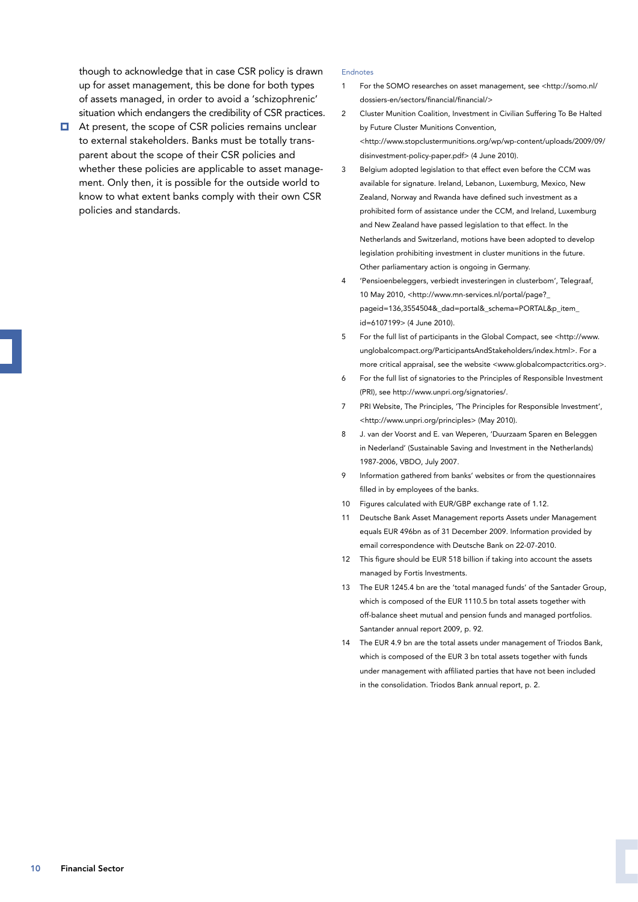though to acknowledge that in case CSR policy is drawn up for asset management, this be done for both types of assets managed, in order to avoid a 'schizophrenic' situation which endangers the credibility of CSR practices.

 $\Box$  At present, the scope of CSR policies remains unclear to external stakeholders. Banks must be totally transparent about the scope of their CSR policies and whether these policies are applicable to asset management. Only then, it is possible for the outside world to know to what extent banks comply with their own CSR policies and standards.

#### Endnotes

- 1 For the SOMO researches on asset management, see <http://somo.nl/ dossiers-en/sectors/financial/financial/>
- 2 Cluster Munition Coalition, Investment in Civilian Suffering To Be Halted by Future Cluster Munitions Convention, <[http://www.stopclustermunitions.org/wp/wp-content/uploads/2009/09/](http://www.stopclustermunitions.org/wp/wp-content/uploads/2009/09/disinvestment-policy-paper.pdf) [disinvestment-policy-paper.pdf](http://www.stopclustermunitions.org/wp/wp-content/uploads/2009/09/disinvestment-policy-paper.pdf)> (4 June 2010).
- 3 Belgium adopted legislation to that effect even before the CCM was available for signature. Ireland, Lebanon, Luxemburg, Mexico, New Zealand, Norway and Rwanda have defined such investment as a prohibited form of assistance under the CCM, and Ireland, Luxemburg and New Zealand have passed legislation to that effect. In the Netherlands and Switzerland, motions have been adopted to develop legislation prohibiting investment in cluster munitions in the future. Other parliamentary action is ongoing in Germany.
- 4 'Pensioenbeleggers, verbiedt investeringen in clusterbom', Telegraaf, 10 May 2010, [<http://www.mn-services.nl/portal/page?\\_](http://www.mn-services.nl/portal/page?_pageid=136,3554504&_dad=portal&_schema=PORTAL&p_item_id=6107199) [pageid=136,3554504&\\_dad=portal&\\_schema=PORTAL&p\\_item\\_](http://www.mn-services.nl/portal/page?_pageid=136,3554504&_dad=portal&_schema=PORTAL&p_item_id=6107199) [id=6107199>](http://www.mn-services.nl/portal/page?_pageid=136,3554504&_dad=portal&_schema=PORTAL&p_item_id=6107199) (4 June 2010).
- 5 For the full list of participants in the Global Compact, see [<http://www.](http://www.unglobalcompact.org/ParticipantsAndStakeholders/index.html) [unglobalcompact.org/ParticipantsAndStakeholders/index.html](http://www.unglobalcompact.org/ParticipantsAndStakeholders/index.html)>. For a more critical appraisal, see the website <[www.globalcompactcritics.org](http://www.globalcompactcritics.org)>.
- 6 For the full list of signatories to the Principles of Responsible Investment (PRI), see <http://www.unpri.org/signatories/>.
- PRI Website, The Principles, 'The Principles for Responsible Investment', <[http://www.unpri.org/principles>](http://www.unpri.org/principles/) (May 2010).
- 8 J. van der Voorst and E. van Weperen, 'Duurzaam Sparen en Beleggen in Nederland' (Sustainable Saving and Investment in the Netherlands) 1987-2006, VBDO, July 2007.
- 9 Information gathered from banks' websites or from the questionnaires filled in by employees of the banks.
- 10 Figures calculated with EUR/GBP exchange rate of 1.12.
- 11 Deutsche Bank Asset Management reports Assets under Management equals EUR 496bn as of 31 December 2009. Information provided by email correspondence with Deutsche Bank on 22-07-2010.
- 12 This figure should be EUR 518 billion if taking into account the assets managed by Fortis Investments.
- 13 The EUR 1245.4 bn are the 'total managed funds' of the Santader Group, which is composed of the EUR 1110.5 bn total assets together with off-balance sheet mutual and pension funds and managed portfolios. Santander annual report 2009, p. 92.
- 14 The EUR 4.9 bn are the total assets under management of Triodos Bank, which is composed of the EUR 3 bn total assets together with funds under management with affiliated parties that have not been included in the consolidation. Triodos Bank annual report, p. 2.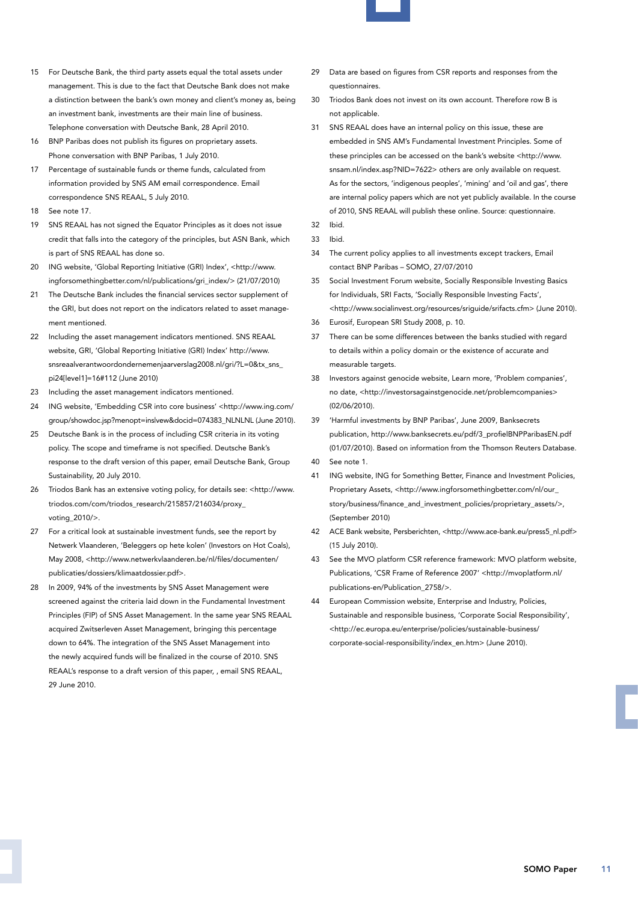

- 15 For Deutsche Bank, the third party assets equal the total assets under management. This is due to the fact that Deutsche Bank does not make a distinction between the bank's own money and client's money as, being an investment bank, investments are their main line of business. Telephone conversation with Deutsche Bank, 28 April 2010.
- 16 BNP Paribas does not publish its figures on proprietary assets. Phone conversation with BNP Paribas, 1 July 2010.
- 17 Percentage of sustainable funds or theme funds, calculated from information provided by SNS AM email correspondence. Email correspondence SNS REAAL, 5 July 2010.
- 18 See note 17.
- 19 SNS REAAL has not signed the Equator Principles as it does not issue credit that falls into the category of the principles, but ASN Bank, which is part of SNS REAAL has done so.
- 20 ING website, 'Global Reporting Initiative (GRI) Index', [<http://www.](http://www.ingforsomethingbetter.com/nl/publications/gri_index/) [ingforsomethingbetter.com/nl/publications/gri\\_index/>](http://www.ingforsomethingbetter.com/nl/publications/gri_index/) (21/07/2010)
- 21 The Deutsche Bank includes the financial services sector supplement of the GRI, but does not report on the indicators related to asset management mentioned.
- 22 Including the asset management indicators mentioned. SNS REAAL website, GRI, 'Global Reporting Initiative (GRI) Index' [http://www.](http://www.snsreaalverantwoordondernemenjaarverslag2008.nl/gri/?L=0&tx_sns_pi24[level1]=16#112) [snsreaalverantwoordondernemenjaarverslag2008.nl/gri/?L=0&tx\\_sns\\_](http://www.snsreaalverantwoordondernemenjaarverslag2008.nl/gri/?L=0&tx_sns_pi24[level1]=16#112) [pi24\[level1\]=16#112](http://www.snsreaalverantwoordondernemenjaarverslag2008.nl/gri/?L=0&tx_sns_pi24[level1]=16#112) (June 2010)
- 23 Including the asset management indicators mentioned.
- 24 ING website, 'Embedding CSR into core business' <[http://www.ing.com/](http://www.ing.com/group/showdoc.jsp?menopt=ins|vew&docid=074383_NLNLNL%E2%8C%A9=NL%E2%8C%A9=nl) [group/showdoc.jsp?menopt=ins|vew&docid=074383\\_NLNLNL](http://www.ing.com/group/showdoc.jsp?menopt=ins|vew&docid=074383_NLNLNL%E2%8C%A9=NL%E2%8C%A9=nl) (June 2010).
- 25 Deutsche Bank is in the process of including CSR criteria in its voting policy. The scope and timeframe is not specified. Deutsche Bank's response to the draft version of this paper, email Deutsche Bank, Group Sustainability, 20 July 2010.
- 26 Triodos Bank has an extensive voting policy, for details see: <[http://www.](http://www.triodos.com/com/triodos_research/215857/216034/proxy_voting_2010/) [triodos.com/com/triodos\\_research/215857/216034/proxy\\_](http://www.triodos.com/com/triodos_research/215857/216034/proxy_voting_2010/) [voting\\_2010/>](http://www.triodos.com/com/triodos_research/215857/216034/proxy_voting_2010/).
- 27 For a critical look at sustainable investment funds, see the report by Netwerk Vlaanderen, 'Beleggers op hete kolen' (Investors on Hot Coals), May 2008, <[http://www.netwerkvlaanderen.be/nl/files/documenten/](http://www.netwerkvlaanderen.be/nl/files/documenten/publicaties/dossiers/klimaatdossier.pdf) [publicaties/dossiers/klimaatdossier.pdf>](http://www.netwerkvlaanderen.be/nl/files/documenten/publicaties/dossiers/klimaatdossier.pdf).
- 28 In 2009, 94% of the investments by SNS Asset Management were screened against the criteria laid down in the Fundamental Investment Principles (FIP) of SNS Asset Management. In the same year SNS REAAL acquired Zwitserleven Asset Management, bringing this percentage down to 64%. The integration of the SNS Asset Management into the newly acquired funds will be finalized in the course of 2010. SNS REAAL's response to a draft version of this paper, , email SNS REAAL, 29 June 2010.
- 29 Data are based on figures from CSR reports and responses from the questionnaires.
- 30 Triodos Bank does not invest on its own account. Therefore row B is not applicable.
- 31 SNS REAAL does have an internal policy on this issue, these are embedded in SNS AM's Fundamental Investment Principles. Some of these principles can be accessed on the bank's website <[http://www.](http://www.snsam.nl/index.asp?NID=7622) [snsam.nl/index.asp?NID=7622](http://www.snsam.nl/index.asp?NID=7622)> others are only available on request. As for the sectors, 'indigenous peoples', 'mining' and 'oil and gas', there are internal policy papers which are not yet publicly available. In the course of 2010, SNS REAAL will publish these online. Source: questionnaire. 32 Ibid.
- 33 Ibid.
- 34 The current policy applies to all investments except trackers, Email contact BNP Paribas – SOMO, 27/07/2010
- 35 Social Investment Forum website, Socially Responsible Investing Basics for Individuals, SRI Facts, 'Socially Responsible Investing Facts', [<http://www.socialinvest.org/resources/sriguide/srifacts.cfm](http://www.socialinvest.org/resources/sriguide/srifacts.cfm)> (June 2010).
- 36 Eurosif, European SRI Study 2008, p. 10.
- 37 There can be some differences between the banks studied with regard to details within a policy domain or the existence of accurate and measurable targets.
- 38 Investors against genocide website, Learn more, 'Problem companies', no date, [<http://investorsagainstgenocide.net/problemcompanies>](http://investorsagainstgenocide.net/problemcompanies) (02/06/2010).
- 39 'Harmful investments by BNP Paribas', June 2009, Banksecrets publication, [http://www.banksecrets.eu/pdf/3\\_profielBNPParibasEN.pdf](http://www.banksecrets.eu/pdf/3_profielBNPParibasEN.pdf) (01/07/2010). Based on information from the Thomson Reuters Database. 40 See note 1.
- 41 ING website, ING for Something Better, Finance and Investment Policies, Proprietary Assets, [<http://www.ingforsomethingbetter.com/nl/our\\_](https://webmail.somo.nl/exchweb/bin/redir.asp?URL=http://www.ingforsomethingbetter.com/nl/our_story/business/finance_and_investment_policies/proprietary_assets/) [story/business/finance\\_and\\_investment\\_policies/proprietary\\_assets/](https://webmail.somo.nl/exchweb/bin/redir.asp?URL=http://www.ingforsomethingbetter.com/nl/our_story/business/finance_and_investment_policies/proprietary_assets/)>, (September 2010)
- 42 ACE Bank website, Persberichten, [<http://www.ace-bank.eu/press5\\_nl.pdf>](http://www.ace-bank.eu/press5_nl.pdf) (15 July 2010).
- 43 See the MVO platform CSR reference framework: MVO platform website, Publications, 'CSR Frame of Reference 2007' [<http://mvoplatform.nl/](http://mvoplatform.nl/publications-en/Publication_2758/) [publications-en/Publication\\_2758/>](http://mvoplatform.nl/publications-en/Publication_2758/).
- 44 European Commission website, Enterprise and Industry, Policies, Sustainable and responsible business, 'Corporate Social Responsibility', [<http://ec.europa.eu/enterprise/policies/sustainable-business/](http://ec.europa.eu/enterprise/policies/sustainable-business/corporate-social-responsibility/index_en.htm) [corporate-social-responsibility/index\\_en.htm](http://ec.europa.eu/enterprise/policies/sustainable-business/corporate-social-responsibility/index_en.htm)> (June 2010).